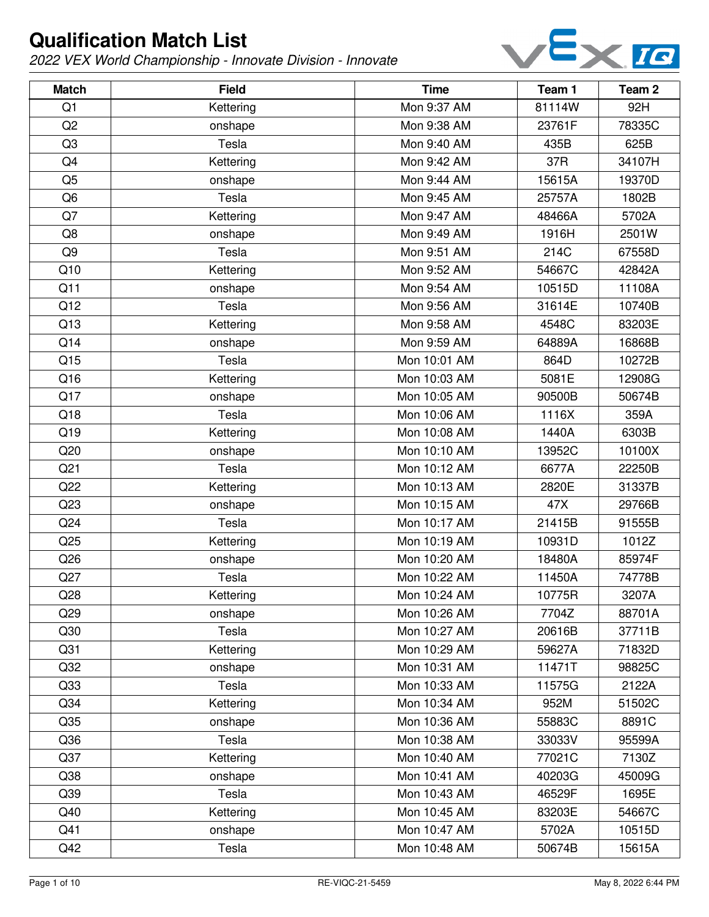

| <b>Match</b>    | <b>Field</b> | <b>Time</b>  | Team 1 | Team <sub>2</sub> |
|-----------------|--------------|--------------|--------|-------------------|
| Q <sub>1</sub>  | Kettering    | Mon 9:37 AM  | 81114W | 92H               |
| Q2              | onshape      | Mon 9:38 AM  | 23761F | 78335C            |
| Q <sub>3</sub>  | Tesla        | Mon 9:40 AM  | 435B   | 625B              |
| Q4              | Kettering    | Mon 9:42 AM  | 37R    | 34107H            |
| Q <sub>5</sub>  | onshape      | Mon 9:44 AM  | 15615A | 19370D            |
| Q <sub>6</sub>  | Tesla        | Mon 9:45 AM  | 25757A | 1802B             |
| Q7              | Kettering    | Mon 9:47 AM  | 48466A | 5702A             |
| Q8              | onshape      | Mon 9:49 AM  | 1916H  | 2501W             |
| Q <sub>9</sub>  | Tesla        | Mon 9:51 AM  | 214C   | 67558D            |
| Q10             | Kettering    | Mon 9:52 AM  | 54667C | 42842A            |
| Q11             | onshape      | Mon 9:54 AM  | 10515D | 11108A            |
| Q12             | Tesla        | Mon 9:56 AM  | 31614E | 10740B            |
| Q13             | Kettering    | Mon 9:58 AM  | 4548C  | 83203E            |
| Q14             | onshape      | Mon 9:59 AM  | 64889A | 16868B            |
| Q15             | Tesla        | Mon 10:01 AM | 864D   | 10272B            |
| Q16             | Kettering    | Mon 10:03 AM | 5081E  | 12908G            |
| Q17             | onshape      | Mon 10:05 AM | 90500B | 50674B            |
| Q18             | Tesla        | Mon 10:06 AM | 1116X  | 359A              |
| Q19             | Kettering    | Mon 10:08 AM | 1440A  | 6303B             |
| Q20             | onshape      | Mon 10:10 AM | 13952C | 10100X            |
| Q <sub>21</sub> | Tesla        | Mon 10:12 AM | 6677A  | 22250B            |
| Q22             | Kettering    | Mon 10:13 AM | 2820E  | 31337B            |
| Q23             | onshape      | Mon 10:15 AM | 47X    | 29766B            |
| Q24             | Tesla        | Mon 10:17 AM | 21415B | 91555B            |
| Q25             | Kettering    | Mon 10:19 AM | 10931D | 1012Z             |
| Q26             | onshape      | Mon 10:20 AM | 18480A | 85974F            |
| Q27             | Tesla        | Mon 10:22 AM | 11450A | 74778B            |
| Q28             | Kettering    | Mon 10:24 AM | 10775R | 3207A             |
| Q29             | onshape      | Mon 10:26 AM | 7704Z  | 88701A            |
| Q30             | Tesla        | Mon 10:27 AM | 20616B | 37711B            |
| Q31             | Kettering    | Mon 10:29 AM | 59627A | 71832D            |
| Q <sub>32</sub> | onshape      | Mon 10:31 AM | 11471T | 98825C            |
| Q <sub>33</sub> | Tesla        | Mon 10:33 AM | 11575G | 2122A             |
| Q <sub>34</sub> | Kettering    | Mon 10:34 AM | 952M   | 51502C            |
| Q <sub>35</sub> | onshape      | Mon 10:36 AM | 55883C | 8891C             |
| Q36             | Tesla        | Mon 10:38 AM | 33033V | 95599A            |
| Q <sub>37</sub> | Kettering    | Mon 10:40 AM | 77021C | 7130Z             |
| Q38             | onshape      | Mon 10:41 AM | 40203G | 45009G            |
| Q <sub>39</sub> | Tesla        | Mon 10:43 AM | 46529F | 1695E             |
| Q40             | Kettering    | Mon 10:45 AM | 83203E | 54667C            |
| Q41             | onshape      | Mon 10:47 AM | 5702A  | 10515D            |
| Q42             | Tesla        | Mon 10:48 AM | 50674B | 15615A            |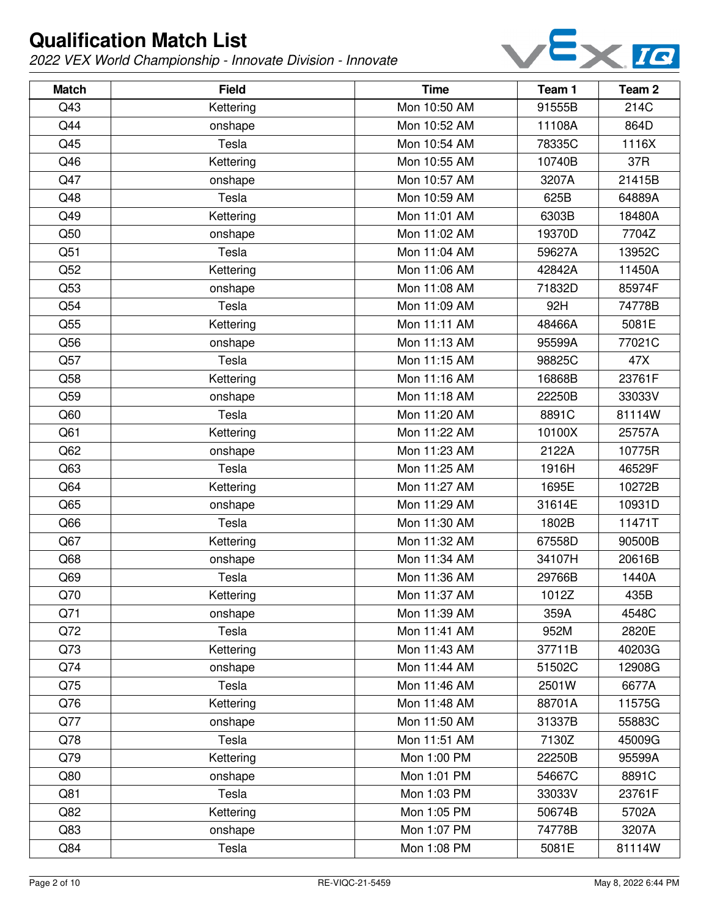

| <b>Match</b>    | <b>Field</b> | <b>Time</b>  | Team 1 | Team 2 |
|-----------------|--------------|--------------|--------|--------|
| Q43             | Kettering    | Mon 10:50 AM | 91555B | 214C   |
| Q44             | onshape      | Mon 10:52 AM | 11108A | 864D   |
| Q45             | Tesla        | Mon 10:54 AM | 78335C | 1116X  |
| Q46             | Kettering    | Mon 10:55 AM | 10740B | 37R    |
| Q47             | onshape      | Mon 10:57 AM | 3207A  | 21415B |
| Q48             | Tesla        | Mon 10:59 AM | 625B   | 64889A |
| Q49             | Kettering    | Mon 11:01 AM | 6303B  | 18480A |
| Q50             | onshape      | Mon 11:02 AM | 19370D | 7704Z  |
| Q51             | Tesla        | Mon 11:04 AM | 59627A | 13952C |
| Q52             | Kettering    | Mon 11:06 AM | 42842A | 11450A |
| Q53             | onshape      | Mon 11:08 AM | 71832D | 85974F |
| Q54             | Tesla        | Mon 11:09 AM | 92H    | 74778B |
| Q55             | Kettering    | Mon 11:11 AM | 48466A | 5081E  |
| Q56             | onshape      | Mon 11:13 AM | 95599A | 77021C |
| Q57             | Tesla        | Mon 11:15 AM | 98825C | 47X    |
| Q58             | Kettering    | Mon 11:16 AM | 16868B | 23761F |
| Q59             | onshape      | Mon 11:18 AM | 22250B | 33033V |
| Q60             | Tesla        | Mon 11:20 AM | 8891C  | 81114W |
| Q61             | Kettering    | Mon 11:22 AM | 10100X | 25757A |
| Q <sub>62</sub> | onshape      | Mon 11:23 AM | 2122A  | 10775R |
| Q63             | Tesla        | Mon 11:25 AM | 1916H  | 46529F |
| Q64             | Kettering    | Mon 11:27 AM | 1695E  | 10272B |
| Q65             | onshape      | Mon 11:29 AM | 31614E | 10931D |
| Q66             | Tesla        | Mon 11:30 AM | 1802B  | 11471T |
| Q67             | Kettering    | Mon 11:32 AM | 67558D | 90500B |
| Q68             | onshape      | Mon 11:34 AM | 34107H | 20616B |
| Q69             | Tesla        | Mon 11:36 AM | 29766B | 1440A  |
| Q70             | Kettering    | Mon 11:37 AM | 1012Z  | 435B   |
| Q71             | onshape      | Mon 11:39 AM | 359A   | 4548C  |
| Q72             | Tesla        | Mon 11:41 AM | 952M   | 2820E  |
| Q73             | Kettering    | Mon 11:43 AM | 37711B | 40203G |
| Q74             | onshape      | Mon 11:44 AM | 51502C | 12908G |
| Q75             | Tesla        | Mon 11:46 AM | 2501W  | 6677A  |
| Q76             | Kettering    | Mon 11:48 AM | 88701A | 11575G |
| Q77             | onshape      | Mon 11:50 AM | 31337B | 55883C |
| Q78             | Tesla        | Mon 11:51 AM | 7130Z  | 45009G |
| Q79             | Kettering    | Mon 1:00 PM  | 22250B | 95599A |
| Q80             | onshape      | Mon 1:01 PM  | 54667C | 8891C  |
| Q81             | Tesla        | Mon 1:03 PM  | 33033V | 23761F |
| Q82             | Kettering    | Mon 1:05 PM  | 50674B | 5702A  |
| Q83             | onshape      | Mon 1:07 PM  | 74778B | 3207A  |
| Q84             | Tesla        | Mon 1:08 PM  | 5081E  | 81114W |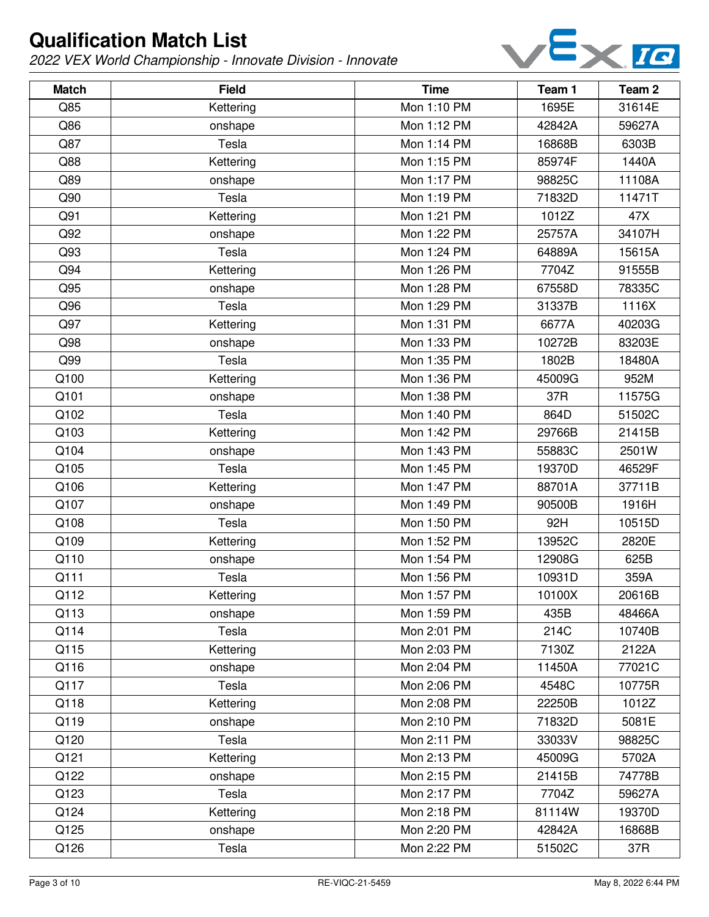

| <b>Match</b> | <b>Field</b> | <b>Time</b> | Team 1 | Team 2 |
|--------------|--------------|-------------|--------|--------|
| Q85          | Kettering    | Mon 1:10 PM | 1695E  | 31614E |
| Q86          | onshape      | Mon 1:12 PM | 42842A | 59627A |
| Q87          | Tesla        | Mon 1:14 PM | 16868B | 6303B  |
| Q88          | Kettering    | Mon 1:15 PM | 85974F | 1440A  |
| Q89          | onshape      | Mon 1:17 PM | 98825C | 11108A |
| Q90          | Tesla        | Mon 1:19 PM | 71832D | 11471T |
| Q91          | Kettering    | Mon 1:21 PM | 1012Z  | 47X    |
| Q92          | onshape      | Mon 1:22 PM | 25757A | 34107H |
| Q93          | Tesla        | Mon 1:24 PM | 64889A | 15615A |
| Q94          | Kettering    | Mon 1:26 PM | 7704Z  | 91555B |
| Q95          | onshape      | Mon 1:28 PM | 67558D | 78335C |
| Q96          | Tesla        | Mon 1:29 PM | 31337B | 1116X  |
| Q97          | Kettering    | Mon 1:31 PM | 6677A  | 40203G |
| Q98          | onshape      | Mon 1:33 PM | 10272B | 83203E |
| Q99          | Tesla        | Mon 1:35 PM | 1802B  | 18480A |
| Q100         | Kettering    | Mon 1:36 PM | 45009G | 952M   |
| Q101         | onshape      | Mon 1:38 PM | 37R    | 11575G |
| Q102         | Tesla        | Mon 1:40 PM | 864D   | 51502C |
| Q103         | Kettering    | Mon 1:42 PM | 29766B | 21415B |
| Q104         | onshape      | Mon 1:43 PM | 55883C | 2501W  |
| Q105         | Tesla        | Mon 1:45 PM | 19370D | 46529F |
| Q106         | Kettering    | Mon 1:47 PM | 88701A | 37711B |
| Q107         | onshape      | Mon 1:49 PM | 90500B | 1916H  |
| Q108         | Tesla        | Mon 1:50 PM | 92H    | 10515D |
| Q109         | Kettering    | Mon 1:52 PM | 13952C | 2820E  |
| Q110         | onshape      | Mon 1:54 PM | 12908G | 625B   |
| Q111         | Tesla        | Mon 1:56 PM | 10931D | 359A   |
| Q112         | Kettering    | Mon 1:57 PM | 10100X | 20616B |
| Q113         | onshape      | Mon 1:59 PM | 435B   | 48466A |
| Q114         | Tesla        | Mon 2:01 PM | 214C   | 10740B |
| Q115         | Kettering    | Mon 2:03 PM | 7130Z  | 2122A  |
| Q116         | onshape      | Mon 2:04 PM | 11450A | 77021C |
| Q117         | Tesla        | Mon 2:06 PM | 4548C  | 10775R |
| Q118         | Kettering    | Mon 2:08 PM | 22250B | 1012Z  |
| Q119         | onshape      | Mon 2:10 PM | 71832D | 5081E  |
| Q120         | Tesla        | Mon 2:11 PM | 33033V | 98825C |
| Q121         | Kettering    | Mon 2:13 PM | 45009G | 5702A  |
| Q122         | onshape      | Mon 2:15 PM | 21415B | 74778B |
| Q123         | Tesla        | Mon 2:17 PM | 7704Z  | 59627A |
| Q124         | Kettering    | Mon 2:18 PM | 81114W | 19370D |
| Q125         | onshape      | Mon 2:20 PM | 42842A | 16868B |
| Q126         | Tesla        | Mon 2:22 PM | 51502C | 37R    |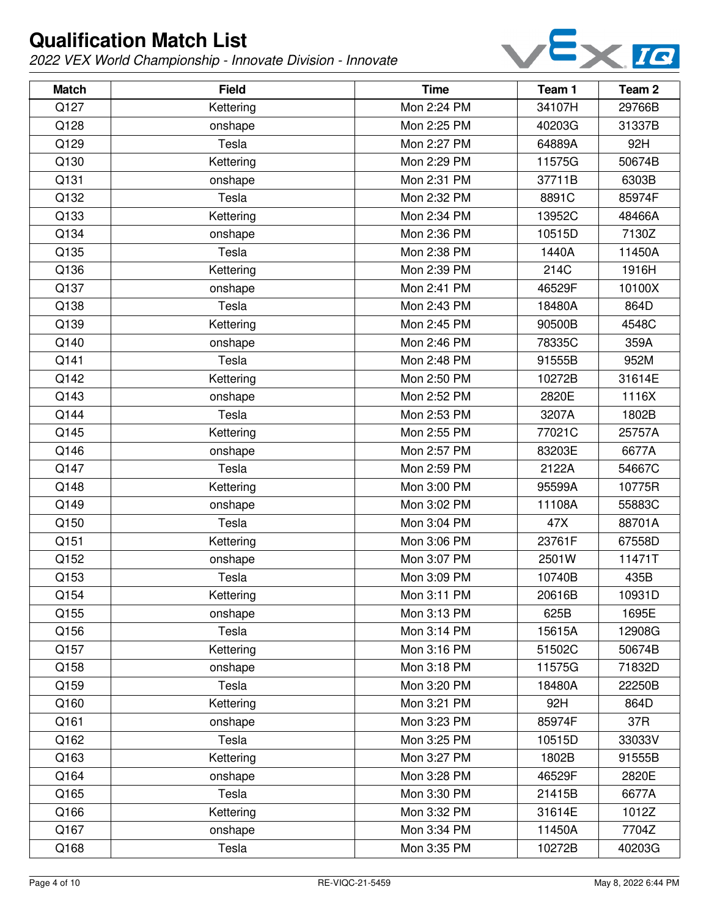

| <b>Match</b> | <b>Field</b> | <b>Time</b> | Team 1 | Team <sub>2</sub> |
|--------------|--------------|-------------|--------|-------------------|
| Q127         | Kettering    | Mon 2:24 PM | 34107H | 29766B            |
| Q128         | onshape      | Mon 2:25 PM | 40203G | 31337B            |
| Q129         | Tesla        | Mon 2:27 PM | 64889A | 92H               |
| Q130         | Kettering    | Mon 2:29 PM | 11575G | 50674B            |
| Q131         | onshape      | Mon 2:31 PM | 37711B | 6303B             |
| Q132         | Tesla        | Mon 2:32 PM | 8891C  | 85974F            |
| Q133         | Kettering    | Mon 2:34 PM | 13952C | 48466A            |
| Q134         | onshape      | Mon 2:36 PM | 10515D | 7130Z             |
| Q135         | Tesla        | Mon 2:38 PM | 1440A  | 11450A            |
| Q136         | Kettering    | Mon 2:39 PM | 214C   | 1916H             |
| Q137         | onshape      | Mon 2:41 PM | 46529F | 10100X            |
| Q138         | Tesla        | Mon 2:43 PM | 18480A | 864D              |
| Q139         | Kettering    | Mon 2:45 PM | 90500B | 4548C             |
| Q140         | onshape      | Mon 2:46 PM | 78335C | 359A              |
| Q141         | Tesla        | Mon 2:48 PM | 91555B | 952M              |
| Q142         | Kettering    | Mon 2:50 PM | 10272B | 31614E            |
| Q143         | onshape      | Mon 2:52 PM | 2820E  | 1116X             |
| Q144         | Tesla        | Mon 2:53 PM | 3207A  | 1802B             |
| Q145         | Kettering    | Mon 2:55 PM | 77021C | 25757A            |
| Q146         | onshape      | Mon 2:57 PM | 83203E | 6677A             |
| Q147         | Tesla        | Mon 2:59 PM | 2122A  | 54667C            |
| Q148         | Kettering    | Mon 3:00 PM | 95599A | 10775R            |
| Q149         | onshape      | Mon 3:02 PM | 11108A | 55883C            |
| Q150         | Tesla        | Mon 3:04 PM | 47X    | 88701A            |
| Q151         | Kettering    | Mon 3:06 PM | 23761F | 67558D            |
| Q152         | onshape      | Mon 3:07 PM | 2501W  | 11471T            |
| Q153         | Tesla        | Mon 3:09 PM | 10740B | 435B              |
| Q154         | Kettering    | Mon 3:11 PM | 20616B | 10931D            |
| Q155         | onshape      | Mon 3:13 PM | 625B   | 1695E             |
| Q156         | Tesla        | Mon 3:14 PM | 15615A | 12908G            |
| Q157         | Kettering    | Mon 3:16 PM | 51502C | 50674B            |
| Q158         | onshape      | Mon 3:18 PM | 11575G | 71832D            |
| Q159         | Tesla        | Mon 3:20 PM | 18480A | 22250B            |
| Q160         | Kettering    | Mon 3:21 PM | 92H    | 864D              |
| Q161         | onshape      | Mon 3:23 PM | 85974F | 37R               |
| Q162         | Tesla        | Mon 3:25 PM | 10515D | 33033V            |
| Q163         | Kettering    | Mon 3:27 PM | 1802B  | 91555B            |
| Q164         | onshape      | Mon 3:28 PM | 46529F | 2820E             |
| Q165         | Tesla        | Mon 3:30 PM | 21415B | 6677A             |
| Q166         | Kettering    | Mon 3:32 PM | 31614E | 1012Z             |
| Q167         | onshape      | Mon 3:34 PM | 11450A | 7704Z             |
| Q168         | Tesla        | Mon 3:35 PM | 10272B | 40203G            |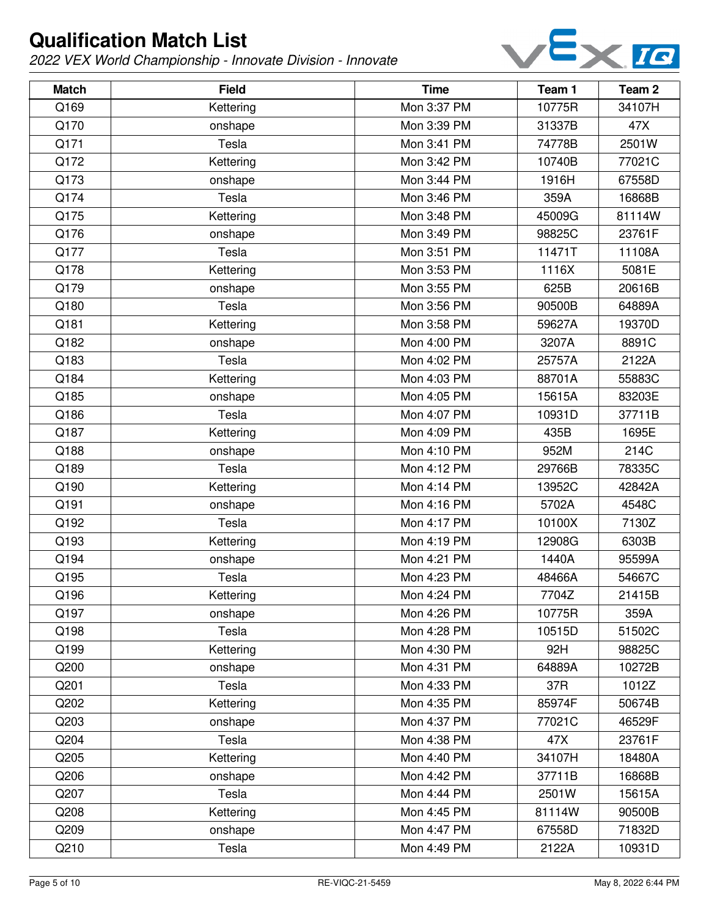

| <b>Match</b> | <b>Field</b> | <b>Time</b> | Team 1 | Team <sub>2</sub> |
|--------------|--------------|-------------|--------|-------------------|
| Q169         | Kettering    | Mon 3:37 PM | 10775R | 34107H            |
| Q170         | onshape      | Mon 3:39 PM | 31337B | 47X               |
| Q171         | Tesla        | Mon 3:41 PM | 74778B | 2501W             |
| Q172         | Kettering    | Mon 3:42 PM | 10740B | 77021C            |
| Q173         | onshape      | Mon 3:44 PM | 1916H  | 67558D            |
| Q174         | Tesla        | Mon 3:46 PM | 359A   | 16868B            |
| Q175         | Kettering    | Mon 3:48 PM | 45009G | 81114W            |
| Q176         | onshape      | Mon 3:49 PM | 98825C | 23761F            |
| Q177         | Tesla        | Mon 3:51 PM | 11471T | 11108A            |
| Q178         | Kettering    | Mon 3:53 PM | 1116X  | 5081E             |
| Q179         | onshape      | Mon 3:55 PM | 625B   | 20616B            |
| Q180         | Tesla        | Mon 3:56 PM | 90500B | 64889A            |
| Q181         | Kettering    | Mon 3:58 PM | 59627A | 19370D            |
| Q182         | onshape      | Mon 4:00 PM | 3207A  | 8891C             |
| Q183         | Tesla        | Mon 4:02 PM | 25757A | 2122A             |
| Q184         | Kettering    | Mon 4:03 PM | 88701A | 55883C            |
| Q185         | onshape      | Mon 4:05 PM | 15615A | 83203E            |
| Q186         | Tesla        | Mon 4:07 PM | 10931D | 37711B            |
| Q187         | Kettering    | Mon 4:09 PM | 435B   | 1695E             |
| Q188         | onshape      | Mon 4:10 PM | 952M   | 214C              |
| Q189         | Tesla        | Mon 4:12 PM | 29766B | 78335C            |
| Q190         | Kettering    | Mon 4:14 PM | 13952C | 42842A            |
| Q191         | onshape      | Mon 4:16 PM | 5702A  | 4548C             |
| Q192         | Tesla        | Mon 4:17 PM | 10100X | 7130Z             |
| Q193         | Kettering    | Mon 4:19 PM | 12908G | 6303B             |
| Q194         | onshape      | Mon 4:21 PM | 1440A  | 95599A            |
| Q195         | Tesla        | Mon 4:23 PM | 48466A | 54667C            |
| Q196         | Kettering    | Mon 4:24 PM | 7704Z  | 21415B            |
| Q197         | onshape      | Mon 4:26 PM | 10775R | 359A              |
| Q198         | Tesla        | Mon 4:28 PM | 10515D | 51502C            |
| Q199         | Kettering    | Mon 4:30 PM | 92H    | 98825C            |
| Q200         | onshape      | Mon 4:31 PM | 64889A | 10272B            |
| Q201         | Tesla        | Mon 4:33 PM | 37R    | 1012Z             |
| Q202         | Kettering    | Mon 4:35 PM | 85974F | 50674B            |
| Q203         | onshape      | Mon 4:37 PM | 77021C | 46529F            |
| Q204         | Tesla        | Mon 4:38 PM | 47X    | 23761F            |
| Q205         | Kettering    | Mon 4:40 PM | 34107H | 18480A            |
| Q206         | onshape      | Mon 4:42 PM | 37711B | 16868B            |
| Q207         | Tesla        | Mon 4:44 PM | 2501W  | 15615A            |
| Q208         | Kettering    | Mon 4:45 PM | 81114W | 90500B            |
| Q209         | onshape      | Mon 4:47 PM | 67558D | 71832D            |
| Q210         | Tesla        | Mon 4:49 PM | 2122A  | 10931D            |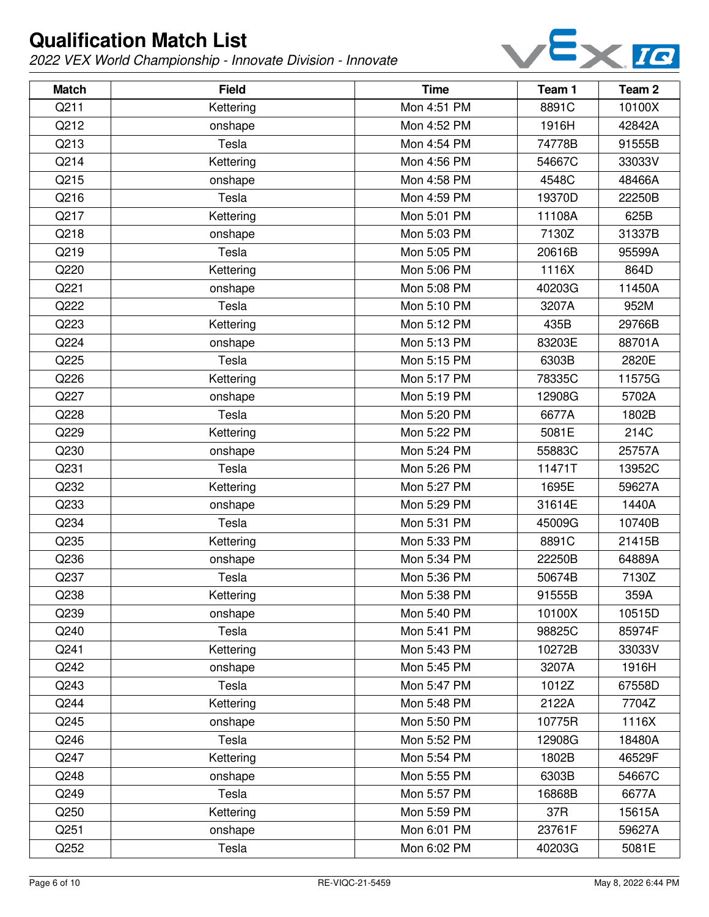

| <b>Match</b> | <b>Field</b> | <b>Time</b> | Team 1 | Team <sub>2</sub> |
|--------------|--------------|-------------|--------|-------------------|
| Q211         | Kettering    | Mon 4:51 PM | 8891C  | 10100X            |
| Q212         | onshape      | Mon 4:52 PM | 1916H  | 42842A            |
| Q213         | Tesla        | Mon 4:54 PM | 74778B | 91555B            |
| Q214         | Kettering    | Mon 4:56 PM | 54667C | 33033V            |
| Q215         | onshape      | Mon 4:58 PM | 4548C  | 48466A            |
| Q216         | Tesla        | Mon 4:59 PM | 19370D | 22250B            |
| Q217         | Kettering    | Mon 5:01 PM | 11108A | 625B              |
| Q218         | onshape      | Mon 5:03 PM | 7130Z  | 31337B            |
| Q219         | Tesla        | Mon 5:05 PM | 20616B | 95599A            |
| Q220         | Kettering    | Mon 5:06 PM | 1116X  | 864D              |
| Q221         | onshape      | Mon 5:08 PM | 40203G | 11450A            |
| Q222         | Tesla        | Mon 5:10 PM | 3207A  | 952M              |
| Q223         | Kettering    | Mon 5:12 PM | 435B   | 29766B            |
| Q224         | onshape      | Mon 5:13 PM | 83203E | 88701A            |
| Q225         | Tesla        | Mon 5:15 PM | 6303B  | 2820E             |
| Q226         | Kettering    | Mon 5:17 PM | 78335C | 11575G            |
| Q227         | onshape      | Mon 5:19 PM | 12908G | 5702A             |
| Q228         | Tesla        | Mon 5:20 PM | 6677A  | 1802B             |
| Q229         | Kettering    | Mon 5:22 PM | 5081E  | 214C              |
| Q230         | onshape      | Mon 5:24 PM | 55883C | 25757A            |
| Q231         | Tesla        | Mon 5:26 PM | 11471T | 13952C            |
| Q232         | Kettering    | Mon 5:27 PM | 1695E  | 59627A            |
| Q233         | onshape      | Mon 5:29 PM | 31614E | 1440A             |
| Q234         | Tesla        | Mon 5:31 PM | 45009G | 10740B            |
| Q235         | Kettering    | Mon 5:33 PM | 8891C  | 21415B            |
| Q236         | onshape      | Mon 5:34 PM | 22250B | 64889A            |
| Q237         | Tesla        | Mon 5:36 PM | 50674B | 7130Z             |
| Q238         | Kettering    | Mon 5:38 PM | 91555B | 359A              |
| Q239         | onshape      | Mon 5:40 PM | 10100X | 10515D            |
| Q240         | Tesla        | Mon 5:41 PM | 98825C | 85974F            |
| Q241         | Kettering    | Mon 5:43 PM | 10272B | 33033V            |
| Q242         | onshape      | Mon 5:45 PM | 3207A  | 1916H             |
| Q243         | Tesla        | Mon 5:47 PM | 1012Z  | 67558D            |
| Q244         | Kettering    | Mon 5:48 PM | 2122A  | 7704Z             |
| Q245         | onshape      | Mon 5:50 PM | 10775R | 1116X             |
| Q246         | Tesla        | Mon 5:52 PM | 12908G | 18480A            |
| Q247         | Kettering    | Mon 5:54 PM | 1802B  | 46529F            |
| Q248         | onshape      | Mon 5:55 PM | 6303B  | 54667C            |
| Q249         | Tesla        | Mon 5:57 PM | 16868B | 6677A             |
| Q250         | Kettering    | Mon 5:59 PM | 37R    | 15615A            |
| Q251         | onshape      | Mon 6:01 PM | 23761F | 59627A            |
| Q252         | Tesla        | Mon 6:02 PM | 40203G | 5081E             |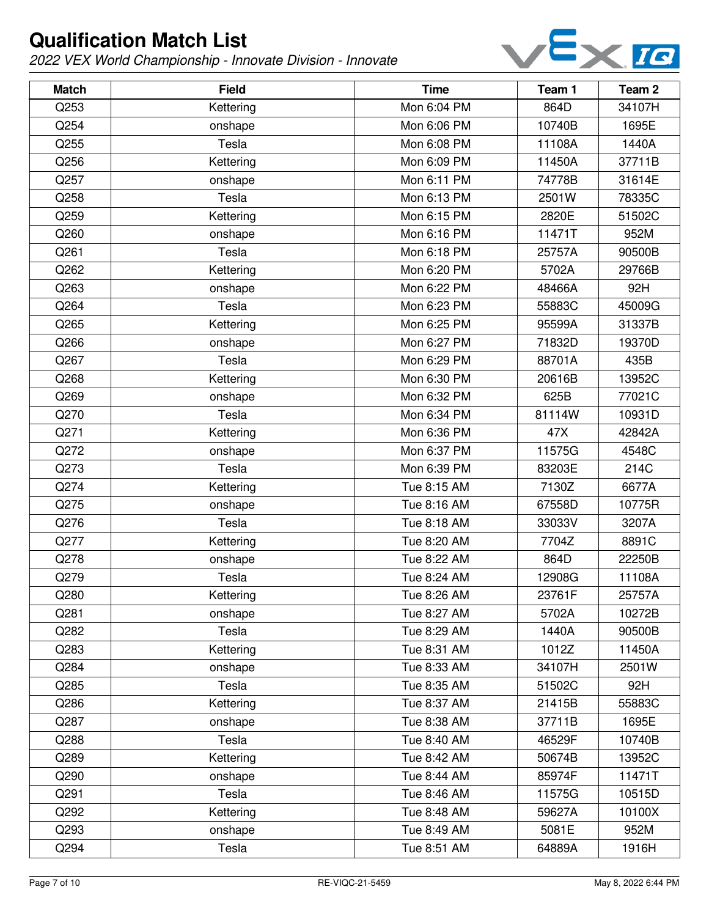

| <b>Match</b> | <b>Field</b> | <b>Time</b> | Team 1 | Team <sub>2</sub> |
|--------------|--------------|-------------|--------|-------------------|
| Q253         | Kettering    | Mon 6:04 PM | 864D   | 34107H            |
| Q254         | onshape      | Mon 6:06 PM | 10740B | 1695E             |
| Q255         | Tesla        | Mon 6:08 PM | 11108A | 1440A             |
| Q256         | Kettering    | Mon 6:09 PM | 11450A | 37711B            |
| Q257         | onshape      | Mon 6:11 PM | 74778B | 31614E            |
| Q258         | Tesla        | Mon 6:13 PM | 2501W  | 78335C            |
| Q259         | Kettering    | Mon 6:15 PM | 2820E  | 51502C            |
| Q260         | onshape      | Mon 6:16 PM | 11471T | 952M              |
| Q261         | Tesla        | Mon 6:18 PM | 25757A | 90500B            |
| Q262         | Kettering    | Mon 6:20 PM | 5702A  | 29766B            |
| Q263         | onshape      | Mon 6:22 PM | 48466A | 92H               |
| Q264         | Tesla        | Mon 6:23 PM | 55883C | 45009G            |
| Q265         | Kettering    | Mon 6:25 PM | 95599A | 31337B            |
| Q266         | onshape      | Mon 6:27 PM | 71832D | 19370D            |
| Q267         | Tesla        | Mon 6:29 PM | 88701A | 435B              |
| Q268         | Kettering    | Mon 6:30 PM | 20616B | 13952C            |
| Q269         | onshape      | Mon 6:32 PM | 625B   | 77021C            |
| Q270         | Tesla        | Mon 6:34 PM | 81114W | 10931D            |
| Q271         | Kettering    | Mon 6:36 PM | 47X    | 42842A            |
| Q272         | onshape      | Mon 6:37 PM | 11575G | 4548C             |
| Q273         | Tesla        | Mon 6:39 PM | 83203E | 214C              |
| Q274         | Kettering    | Tue 8:15 AM | 7130Z  | 6677A             |
| Q275         | onshape      | Tue 8:16 AM | 67558D | 10775R            |
| Q276         | Tesla        | Tue 8:18 AM | 33033V | 3207A             |
| Q277         | Kettering    | Tue 8:20 AM | 7704Z  | 8891C             |
| Q278         | onshape      | Tue 8:22 AM | 864D   | 22250B            |
| Q279         | Tesla        | Tue 8:24 AM | 12908G | 11108A            |
| Q280         | Kettering    | Tue 8:26 AM | 23761F | 25757A            |
| Q281         | onshape      | Tue 8:27 AM | 5702A  | 10272B            |
| Q282         | Tesla        | Tue 8:29 AM | 1440A  | 90500B            |
| Q283         | Kettering    | Tue 8:31 AM | 1012Z  | 11450A            |
| Q284         | onshape      | Tue 8:33 AM | 34107H | 2501W             |
| Q285         | Tesla        | Tue 8:35 AM | 51502C | 92H               |
| Q286         | Kettering    | Tue 8:37 AM | 21415B | 55883C            |
| Q287         | onshape      | Tue 8:38 AM | 37711B | 1695E             |
| Q288         | Tesla        | Tue 8:40 AM | 46529F | 10740B            |
| Q289         | Kettering    | Tue 8:42 AM | 50674B | 13952C            |
| Q290         | onshape      | Tue 8:44 AM | 85974F | 11471T            |
| Q291         | Tesla        | Tue 8:46 AM | 11575G | 10515D            |
| Q292         | Kettering    | Tue 8:48 AM | 59627A | 10100X            |
| Q293         | onshape      | Tue 8:49 AM | 5081E  | 952M              |
| Q294         | Tesla        | Tue 8:51 AM | 64889A | 1916H             |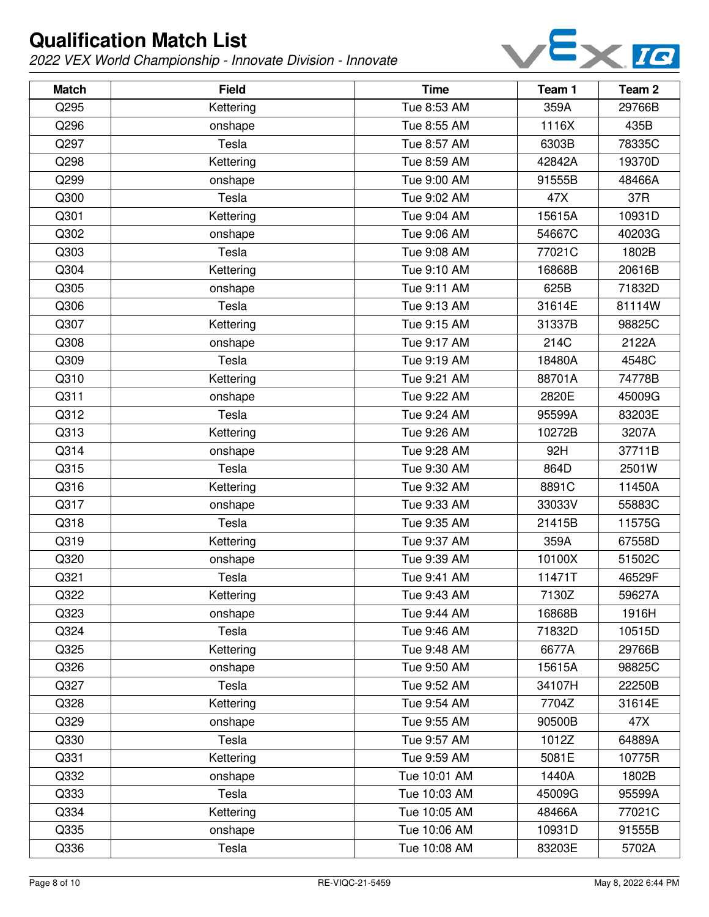

| <b>Match</b> | <b>Field</b> | <b>Time</b>  | Team 1 | Team <sub>2</sub> |
|--------------|--------------|--------------|--------|-------------------|
| Q295         | Kettering    | Tue 8:53 AM  | 359A   | 29766B            |
| Q296         | onshape      | Tue 8:55 AM  | 1116X  | 435B              |
| Q297         | Tesla        | Tue 8:57 AM  | 6303B  | 78335C            |
| Q298         | Kettering    | Tue 8:59 AM  | 42842A | 19370D            |
| Q299         | onshape      | Tue 9:00 AM  | 91555B | 48466A            |
| Q300         | Tesla        | Tue 9:02 AM  | 47X    | 37R               |
| Q301         | Kettering    | Tue 9:04 AM  | 15615A | 10931D            |
| Q302         | onshape      | Tue 9:06 AM  | 54667C | 40203G            |
| Q303         | Tesla        | Tue 9:08 AM  | 77021C | 1802B             |
| Q304         | Kettering    | Tue 9:10 AM  | 16868B | 20616B            |
| Q305         | onshape      | Tue 9:11 AM  | 625B   | 71832D            |
| Q306         | Tesla        | Tue 9:13 AM  | 31614E | 81114W            |
| Q307         | Kettering    | Tue 9:15 AM  | 31337B | 98825C            |
| Q308         | onshape      | Tue 9:17 AM  | 214C   | 2122A             |
| Q309         | Tesla        | Tue 9:19 AM  | 18480A | 4548C             |
| Q310         | Kettering    | Tue 9:21 AM  | 88701A | 74778B            |
| Q311         | onshape      | Tue 9:22 AM  | 2820E  | 45009G            |
| Q312         | Tesla        | Tue 9:24 AM  | 95599A | 83203E            |
| Q313         | Kettering    | Tue 9:26 AM  | 10272B | 3207A             |
| Q314         | onshape      | Tue 9:28 AM  | 92H    | 37711B            |
| Q315         | Tesla        | Tue 9:30 AM  | 864D   | 2501W             |
| Q316         | Kettering    | Tue 9:32 AM  | 8891C  | 11450A            |
| Q317         | onshape      | Tue 9:33 AM  | 33033V | 55883C            |
| Q318         | Tesla        | Tue 9:35 AM  | 21415B | 11575G            |
| Q319         | Kettering    | Tue 9:37 AM  | 359A   | 67558D            |
| Q320         | onshape      | Tue 9:39 AM  | 10100X | 51502C            |
| Q321         | Tesla        | Tue 9:41 AM  | 11471T | 46529F            |
| Q322         | Kettering    | Tue 9:43 AM  | 7130Z  | 59627A            |
| Q323         | onshape      | Tue 9:44 AM  | 16868B | 1916H             |
| Q324         | Tesla        | Tue 9:46 AM  | 71832D | 10515D            |
| Q325         | Kettering    | Tue 9:48 AM  | 6677A  | 29766B            |
| Q326         | onshape      | Tue 9:50 AM  | 15615A | 98825C            |
| Q327         | Tesla        | Tue 9:52 AM  | 34107H | 22250B            |
| Q328         | Kettering    | Tue 9:54 AM  | 7704Z  | 31614E            |
| Q329         | onshape      | Tue 9:55 AM  | 90500B | 47X               |
| Q330         | Tesla        | Tue 9:57 AM  | 1012Z  | 64889A            |
| Q331         | Kettering    | Tue 9:59 AM  | 5081E  | 10775R            |
| Q332         | onshape      | Tue 10:01 AM | 1440A  | 1802B             |
| Q333         | Tesla        | Tue 10:03 AM | 45009G | 95599A            |
| Q334         | Kettering    | Tue 10:05 AM | 48466A | 77021C            |
| Q335         | onshape      | Tue 10:06 AM | 10931D | 91555B            |
| Q336         | Tesla        | Tue 10:08 AM | 83203E | 5702A             |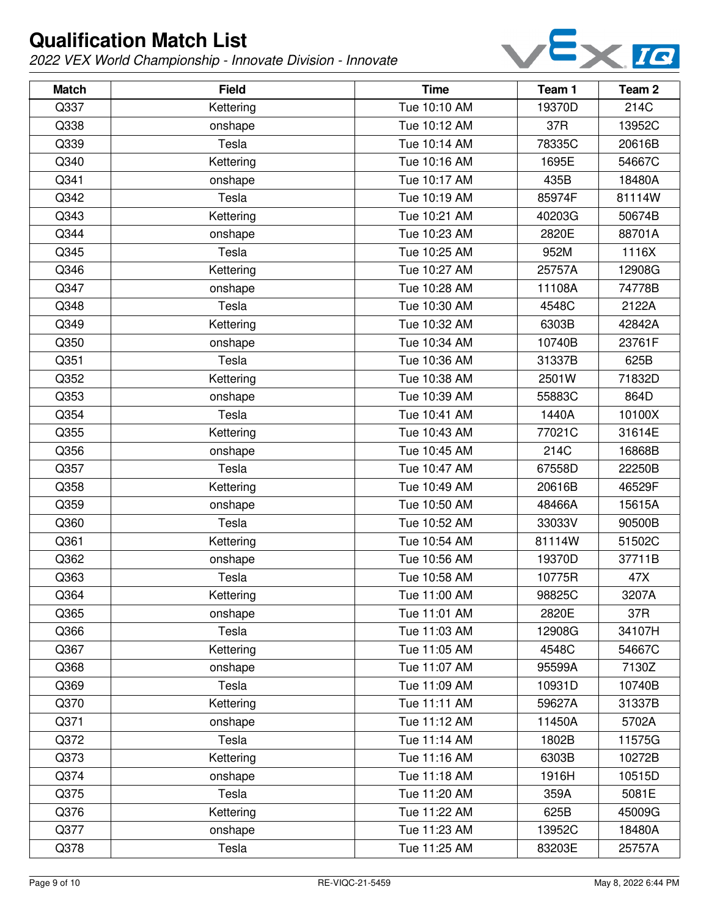

| <b>Match</b> | <b>Field</b> | <b>Time</b>  | Team 1 | Team <sub>2</sub> |
|--------------|--------------|--------------|--------|-------------------|
| Q337         | Kettering    | Tue 10:10 AM | 19370D | 214C              |
| Q338         | onshape      | Tue 10:12 AM | 37R    | 13952C            |
| Q339         | Tesla        | Tue 10:14 AM | 78335C | 20616B            |
| Q340         | Kettering    | Tue 10:16 AM | 1695E  | 54667C            |
| Q341         | onshape      | Tue 10:17 AM | 435B   | 18480A            |
| Q342         | Tesla        | Tue 10:19 AM | 85974F | 81114W            |
| Q343         | Kettering    | Tue 10:21 AM | 40203G | 50674B            |
| Q344         | onshape      | Tue 10:23 AM | 2820E  | 88701A            |
| Q345         | Tesla        | Tue 10:25 AM | 952M   | 1116X             |
| Q346         | Kettering    | Tue 10:27 AM | 25757A | 12908G            |
| Q347         | onshape      | Tue 10:28 AM | 11108A | 74778B            |
| Q348         | Tesla        | Tue 10:30 AM | 4548C  | 2122A             |
| Q349         | Kettering    | Tue 10:32 AM | 6303B  | 42842A            |
| Q350         | onshape      | Tue 10:34 AM | 10740B | 23761F            |
| Q351         | Tesla        | Tue 10:36 AM | 31337B | 625B              |
| Q352         | Kettering    | Tue 10:38 AM | 2501W  | 71832D            |
| Q353         | onshape      | Tue 10:39 AM | 55883C | 864D              |
| Q354         | Tesla        | Tue 10:41 AM | 1440A  | 10100X            |
| Q355         | Kettering    | Tue 10:43 AM | 77021C | 31614E            |
| Q356         | onshape      | Tue 10:45 AM | 214C   | 16868B            |
| Q357         | Tesla        | Tue 10:47 AM | 67558D | 22250B            |
| Q358         | Kettering    | Tue 10:49 AM | 20616B | 46529F            |
| Q359         | onshape      | Tue 10:50 AM | 48466A | 15615A            |
| Q360         | Tesla        | Tue 10:52 AM | 33033V | 90500B            |
| Q361         | Kettering    | Tue 10:54 AM | 81114W | 51502C            |
| Q362         | onshape      | Tue 10:56 AM | 19370D | 37711B            |
| Q363         | Tesla        | Tue 10:58 AM | 10775R | 47X               |
| Q364         | Kettering    | Tue 11:00 AM | 98825C | 3207A             |
| Q365         | onshape      | Tue 11:01 AM | 2820E  | 37R               |
| Q366         | Tesla        | Tue 11:03 AM | 12908G | 34107H            |
| Q367         | Kettering    | Tue 11:05 AM | 4548C  | 54667C            |
| Q368         | onshape      | Tue 11:07 AM | 95599A | 7130Z             |
| Q369         | Tesla        | Tue 11:09 AM | 10931D | 10740B            |
| Q370         | Kettering    | Tue 11:11 AM | 59627A | 31337B            |
| Q371         | onshape      | Tue 11:12 AM | 11450A | 5702A             |
| Q372         | Tesla        | Tue 11:14 AM | 1802B  | 11575G            |
| Q373         | Kettering    | Tue 11:16 AM | 6303B  | 10272B            |
| Q374         | onshape      | Tue 11:18 AM | 1916H  | 10515D            |
| Q375         | Tesla        | Tue 11:20 AM | 359A   | 5081E             |
| Q376         | Kettering    | Tue 11:22 AM | 625B   | 45009G            |
| Q377         | onshape      | Tue 11:23 AM | 13952C | 18480A            |
| Q378         | Tesla        | Tue 11:25 AM | 83203E | 25757A            |